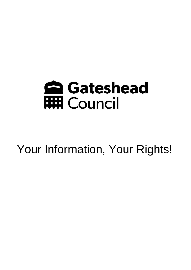

Your Information, Your Rights!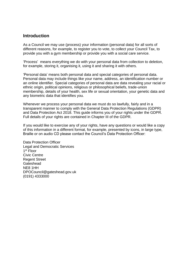### **Introduction**

As a Council we may use (process) your information (personal data) for all sorts of different reasons, for example, to register you to vote, to collect your Council Tax, to provide you with a gym membership or provide you with a social care service.

'Process' means everything we do with your personal data from collection to deletion, for example, storing it, organising it, using it and sharing it with others.

'Personal data' means both personal data and special categories of personal data. Personal data may include things like your name, address, an identification number or an online identifier. Special categories of personal data are data revealing your racial or ethnic origin, political opinions, religious or philosophical beliefs, trade-union membership, details of your health, sex life or sexual orientation, your genetic data and any biometric data that identifies you.

Whenever we process your personal data we must do so lawfully, fairly and in a transparent manner to comply with the General Data Protection Regulations (GDPR) and Data Protection Act 2018. This guide informs you of your rights under the GDPR. Full details of your rights are contained in Chapter III of the GDPR.

If you would like to exercise any of your rights, have any questions or would like a copy of this information in a different format, for example, presented by icons, in large type, Braille or on audio CD please contact the Council's Data Protection Officer:

Data Protection Officer Legal and Democratic Services 1 st Floor Civic Centre Regent Street **Gateshead** NE8 1HH DPOCouncil@gateshead.gov.uk (0191) 4333000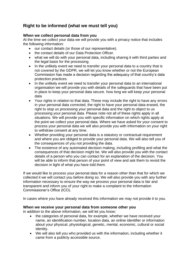## **Right to be informed (what we must tell you)**

#### **When we collect personal data from you**

At the time we collect your data we will provide you with a privacy notice that includes the following information:

- our contact details (or those of our representative).
- the contact details of our Data Protection Officer.
- what we will do with your personal data, including sharing it with third parties and the legal basis for the processing.
- In the unlikely event we need to transfer your personal data to a country that is not covered by the GDPR, we will let you know whether or not the European Commission has made a decision regarding the adequacy of that country's data protection practices.
- In the unlikely event we need to transfer your personal data to an international organisation we will provide you with details of the safeguards that have been put in place to keep your personal data secure. how long we will keep your personal data
- Your rights in relation to that data. These may include the right to have any errors in your personal data corrected, the right to have your personal data erased, the right to stop us processing your personal data and the right to object to us processing your personal data. Please note not all of these rights apply in all situations. We will provide you with specific information on which rights apply at the point we collect your personal data. Where we have asked for your consent to process your personal data we will also provide you with information on your right to withdraw consent at any time.
- Whether providing your personal data is a statutory or contractual requirement and where you are obliged to provide your personal data. We will also tell you of the consequences of you not providing the data.
- The existence of any automated decision making, including profiling and what the consequences of that decision might be. We will also provide you with the contact details of a person who you can contact for an explanation of the decision. You will be able to inform that person of your point of view and ask them to revisit the decision in light of what you have told them.

If we would like to process your personal data for a reason other than that for which we collected it we will contact you before doing so. We will also provide you with any further information necessary to ensure the way we process your personal data is fair and transparent and inform you of your right to make a complaint to the Information Commissioner's Office (ICO).

In cases where you have already received this information we may not provide it to you.

#### **When we receive your personal data from someone other you**

in addition to the above information, we will let you know:

- the categories of personal data, for example, whether we have received your name, an identification number, location data, an online identifier or information about your physical, physiological, genetic, mental, economic, cultural or social identity.
- We will also tell you who provided us with the information, including whether it came from a publicly accessible source.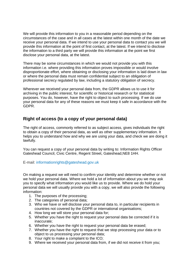We will provide this information to you in a reasonable period depending on the circumstances of the case and in all cases at the latest within one month of the date we receive your personal data. If we intend to use your personal data to contact you we will provide this information at the point of first contact, at the latest. If we intend to disclose the information to a third party we will provide this information at the point we first disclose your personal data, at the latest.

There may be some circumstances in which we would not provide you with this information i.e. where providing this information proves impossible or would involve disproportionate effort, where obtaining or disclosing your information is laid down in law or where the personal data must remain confidential subject to an obligation of professional secrecy regulated by law, including a statutory obligation of secrecy.

Wherever we received your personal data from, the GDPR allows us to use it for archiving in the public interest, for scientific or historical research or for statistical purposes. You do, however, have the right to object to such processing. If we do use your personal data for any of these reasons we must keep it safe in accordance with the GDPR.

## **Right of access (to a copy of your personal data)**

The right of access, commonly referred to as subject access, gives individuals the right to obtain a copy of their personal data, as well as other supplementary information. It helps you to understand how and why we are using your data, and check we are doing it lawfully.

You can request a copy of your personal data by writing to: Information Rights Officer Gateshead Council, Civic Centre, Regent Street, Gateshead,NE8 1HH.

#### E-mail: [informationrights@gateshead.gov.uk](mailto:informationrights@gateshead.gov.uk)

On making a request we will need to confirm your identity and determine whether or not we hold your personal data. Where we hold a lot of information about you we may ask you to specify what information you would like us to provide. Where we do hold your personal data we will usually provide you with a copy, we will also provide the following information:

- 1. The purposes of the processing;
- 2. The categories of personal data;
- 3. Who we have or will disclose your personal data to, in particular recipients in countries not covered by the GDPR or international organisations;
- 4. How long we will store your personal data for;
- 5. Whether you have the right to request your personal data be corrected if it is inaccurate;
- 6. Whether you have the right to request your personal data be erased;
- 7. Whether you have the right to request that we stop processing your data or to object to us processing your personal data;
- 8. Your right to make a complaint to the ICO;
- 9. Where we received your personal data from, if we did not receive it from you;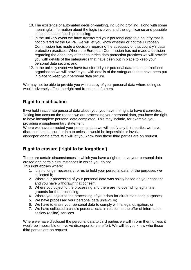- 10. The existence of automated decision-making, including profiling, along with some meaningful information about the logic involved and the significance and possible consequences of such processing;
- 11. In the unlikely event we have transferred your personal data to a country that is not covered by the GDPR, we will let you know whether or not the European Commission has made a decision regarding the adequacy of that country's data protection practices. Where the European Commission has not made a decision regarding the adequacy of that countries data protection practices we will provide you with details of the safeguards that have been put in place to keep your personal data secure; and
- 12. In the unlikely event we have transferred your personal data to an international organisation we will provide you with details of the safeguards that have been put in place to keep your personal data secure.

We may not be able to provide you with a copy of your personal data where doing so would adversely affect the right and freedoms of others.

## **Right to rectification**

If we hold inaccurate personal data about you, you have the right to have it corrected. Taking into account the reason we are processing your personal data, you have the right to have incomplete personal data completed. This may include, for example, you providing a supplementary statement.

Where we have corrected your personal data we will notify any third parties we have disclosed the inaccurate data to unless it would be impossible or involve disproportionate effort. We will let you know who those third parties are on request.

## **Right to erasure ('right to be forgotten')**

There are certain circumstances in which you have a right to have your personal data erased and certain circumstances in which you do not.

This right applies where:

- 1. It is no longer necessary for us to hold your personal data for the purposes we collected it;
- 2. Where our processing of your personal data was solely based on your consent and you have withdrawn that consent;
- 3. Where you object to the processing and there are no overriding legitimate grounds for the processing;
- 4. Where you object to the processing of your data for direct marketing purposes;
- 5. We have processed your personal data unlawfully;
- 6. We have to erase your personal data to comply with a legal obligation; or
- 7. We have collected a child's personal data in relation to the offer of information society (online) services.

Where we have disclosed the personal data to third parties we will inform them unless it would be impossible or involve disproportionate effort. We will let you know who those third parties are on request.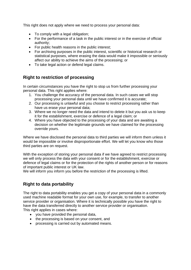This right does not apply where we need to process your personal data:

- To comply with a legal obligation;
- For the performance of a task in the public interest or in the exercise of official authority;
- For public health reasons in the public interest;
- For archiving purposes in the public interest, scientific or historical research or statistical purposes, where erasing the data would make it impossible or seriously affect our ability to achieve the aims of the processing; or
- To take legal action or defend legal claims.

## **Right to restriction of processing**

In certain circumstances you have the right to stop us from further processing your personal data. This right applies where:

- 1. You challenge the accuracy of the personal data. In such cases we will stop processing your personal data until we have confirmed it is accurate;
- 2. Our processing is unlawful and you choose to restrict processing rather than have us erase your personal data;
- 3. Where we no longer need the data and intend to delete it but you ask us to keep it for the establishment, exercise or defence of a legal claim; or
- 4. Where you have objected to the processing of your data and are awaiting a decision on whether the legitimate grounds we have claimed for the processing override yours.

Where we have disclosed the personal data to third parties we will inform them unless it would be impossible or involve disproportionate effort. We will let you know who those third parties are on request.

With the exception of storing your personal data if we have agreed to restrict processing we will only process the data with your consent or for the establishment, exercise or defence of legal claims or for the protection of the rights of another person or for reasons of important public interest or UK law.

We will inform you inform you before the restriction of the processing is lifted.

# **Right to data portability**

The right to data portability enables you get a copy of your personal data in a commonly used machine readable format for your own use, for example, to transfer to another service provider or organisation. Where it is technically possible you have the right to have the data transferred directly to another service provider or organisation. This right applies in cases where:

- you have provided the personal data,
- the processing is based on your consent, and
- processing is carried out by automated means.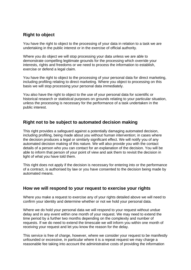## **Right to object**

You have the right to object to the processing of your data in relation to a task we are undertaking in the public interest or in the exercise of official authority.

Where you do object we will stop processing your data unless we are able to demonstrate compelling legitimate grounds for the processing which override your interests, rights and freedoms or we need to process the information to establish, exercise or defend a legal claim.

You have the right to object to the processing of your personal data for direct marketing, including profiling relating to direct marketing. Where you object to processing on this basis we will stop processing your personal data immediately.

You also have the right to object to the use of your personal data for scientific or historical research or statistical purposes on grounds relating to your particular situation, unless the processing is necessary for the performance of a task undertaken in the public interest.

## **Right not to be subject to automated decision making**

This right provides a safeguard against a potentially damaging automated decision, including profiling, being made about you without human intervention; in cases where the decision produces a legal or similarly significant effect. We will notify you of any automated decision making of this nature. We will also provide you with the contact details of a person who you can contact for an explanation of the decision. You will be able to inform that person of your point of view and ask them to revisit the decision in light of what you have told them.

This right does not apply if the decision is necessary for entering into or the performance of a contract, is authorised by law or you have consented to the decision being made by automated means.

## **How we will respond to your request to exercise your rights**

Where you make a request to exercise any of your rights detailed above we will need to confirm your identity and determine whether or not we hold your personal data.

Where we do hold your personal data we will respond to your request without undue delay and in any event within one month of your request. We may need to extend the time period by a further two months depending on the complexity and number of requests. If we do need to extend the timescale we will inform you within one month of receiving your request and let you know the reason for the delay.

This service is free of charge, however, where we consider your request to be manifestly unfounded or excessive, in particular where it is a repeat request we may charge a reasonable fee taking into account the administrative costs of providing the information